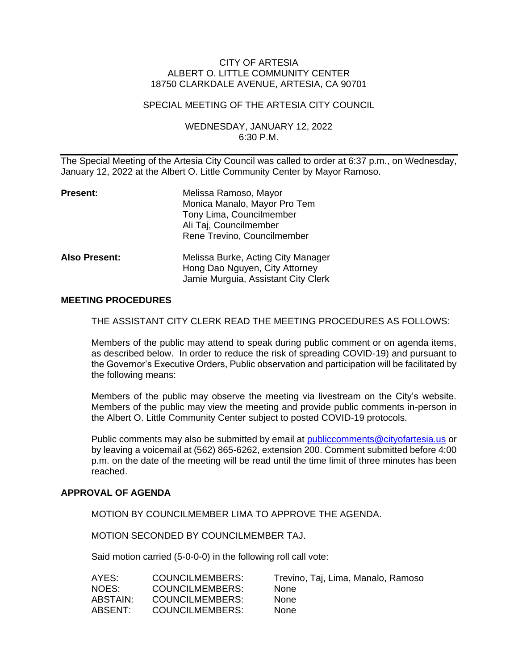### CITY OF ARTESIA ALBERT O. LITTLE COMMUNITY CENTER 18750 CLARKDALE AVENUE, ARTESIA, CA 90701

### SPECIAL MEETING OF THE ARTESIA CITY COUNCIL

### WEDNESDAY, JANUARY 12, 2022 6:30 P.M.

The Special Meeting of the Artesia City Council was called to order at 6:37 p.m., on Wednesday, January 12, 2022 at the Albert O. Little Community Center by Mayor Ramoso.

| <b>Present:</b>      | Melissa Ramoso, Mayor<br>Monica Manalo, Mayor Pro Tem<br>Tony Lima, Councilmember<br>Ali Taj, Councilmember<br>Rene Trevino, Councilmember |
|----------------------|--------------------------------------------------------------------------------------------------------------------------------------------|
| <b>Also Present:</b> | Melissa Burke, Acting City Manager<br>Hong Dao Nguyen, City Attorney<br>Jamie Murguia, Assistant City Clerk                                |

### **MEETING PROCEDURES**

THE ASSISTANT CITY CLERK READ THE MEETING PROCEDURES AS FOLLOWS:

Members of the public may attend to speak during public comment or on agenda items, as described below. In order to reduce the risk of spreading COVID-19) and pursuant to the Governor's Executive Orders, Public observation and participation will be facilitated by the following means:

Members of the public may observe the meeting via livestream on the City's website. Members of the public may view the meeting and provide public comments in-person in the Albert O. Little Community Center subject to posted COVID-19 protocols.

Public comments may also be submitted by email at [publiccomments@cityofartesia.us](mailto:publiccomments@cityofartesia.us) or by leaving a voicemail at (562) 865-6262, extension 200. Comment submitted before 4:00 p.m. on the date of the meeting will be read until the time limit of three minutes has been reached.

### **APPROVAL OF AGENDA**

MOTION BY COUNCILMEMBER LIMA TO APPROVE THE AGENDA.

MOTION SECONDED BY COUNCILMEMBER TAJ.

Said motion carried (5-0-0-0) in the following roll call vote:

| COUNCILMEMBERS:        | Trevino, Taj, Lima, Manalo, Ramoso |
|------------------------|------------------------------------|
| <b>COUNCILMEMBERS:</b> | <b>None</b>                        |
| COUNCILMEMBERS:        | <b>None</b>                        |
| <b>COUNCILMEMBERS:</b> | <b>None</b>                        |
|                        |                                    |